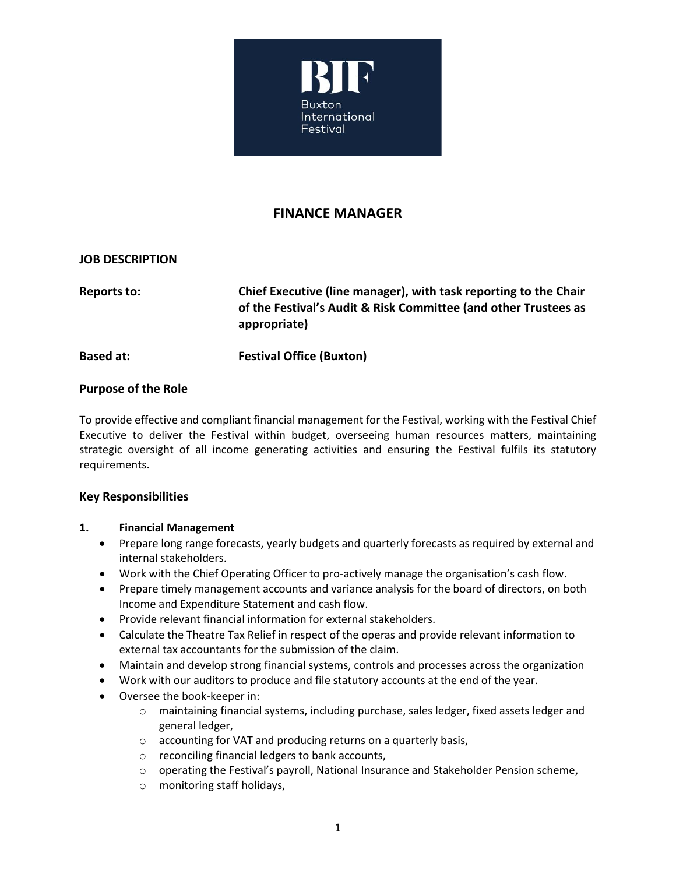

# **FINANCE MANAGER**

## **JOB DESCRIPTION**

**Reports to: Chief Executive (line manager), with task reporting to the Chair of the Festival's Audit & Risk Committee (and other Trustees as appropriate)**

**Based at: Festival Office (Buxton)**

## **Purpose of the Role**

To provide effective and compliant financial management for the Festival, working with the Festival Chief Executive to deliver the Festival within budget, overseeing human resources matters, maintaining strategic oversight of all income generating activities and ensuring the Festival fulfils its statutory requirements.

#### **Key Responsibilities**

#### **1. Financial Management**

- Prepare long range forecasts, yearly budgets and quarterly forecasts as required by external and internal stakeholders.
- Work with the Chief Operating Officer to pro-actively manage the organisation's cash flow.
- Prepare timely management accounts and variance analysis for the board of directors, on both Income and Expenditure Statement and cash flow.
- Provide relevant financial information for external stakeholders.
- Calculate the Theatre Tax Relief in respect of the operas and provide relevant information to external tax accountants for the submission of the claim.
- Maintain and develop strong financial systems, controls and processes across the organization
- Work with our auditors to produce and file statutory accounts at the end of the year.
- Oversee the book-keeper in:
	- $\circ$  maintaining financial systems, including purchase, sales ledger, fixed assets ledger and general ledger,
	- o accounting for VAT and producing returns on a quarterly basis,
	- o reconciling financial ledgers to bank accounts,
	- $\circ$  operating the Festival's payroll, National Insurance and Stakeholder Pension scheme,
	- o monitoring staff holidays,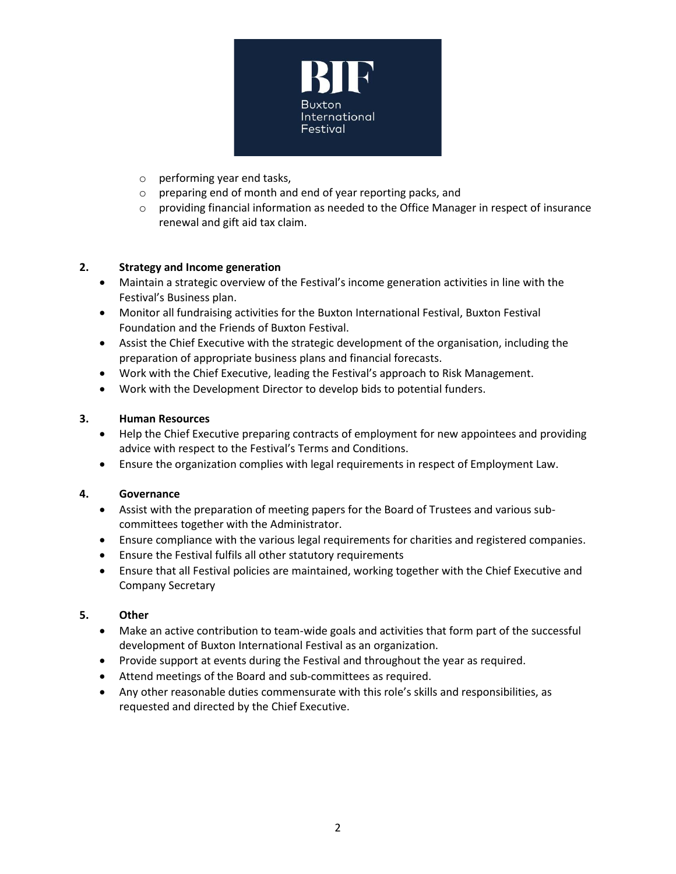

- o performing year end tasks,
- o preparing end of month and end of year reporting packs, and
- $\circ$  providing financial information as needed to the Office Manager in respect of insurance renewal and gift aid tax claim.

#### **2. Strategy and Income generation**

- Maintain a strategic overview of the Festival's income generation activities in line with the Festival's Business plan.
- Monitor all fundraising activities for the Buxton International Festival, Buxton Festival Foundation and the Friends of Buxton Festival.
- Assist the Chief Executive with the strategic development of the organisation, including the preparation of appropriate business plans and financial forecasts.
- Work with the Chief Executive, leading the Festival's approach to Risk Management.
- Work with the Development Director to develop bids to potential funders.

#### **3. Human Resources**

- Help the Chief Executive preparing contracts of employment for new appointees and providing advice with respect to the Festival's Terms and Conditions.
- Ensure the organization complies with legal requirements in respect of Employment Law.

#### **4. Governance**

- Assist with the preparation of meeting papers for the Board of Trustees and various subcommittees together with the Administrator.
- Ensure compliance with the various legal requirements for charities and registered companies.
- Ensure the Festival fulfils all other statutory requirements
- Ensure that all Festival policies are maintained, working together with the Chief Executive and Company Secretary

#### **5. Other**

- Make an active contribution to team-wide goals and activities that form part of the successful development of Buxton International Festival as an organization.
- Provide support at events during the Festival and throughout the year as required.
- Attend meetings of the Board and sub-committees as required.
- Any other reasonable duties commensurate with this role's skills and responsibilities, as requested and directed by the Chief Executive.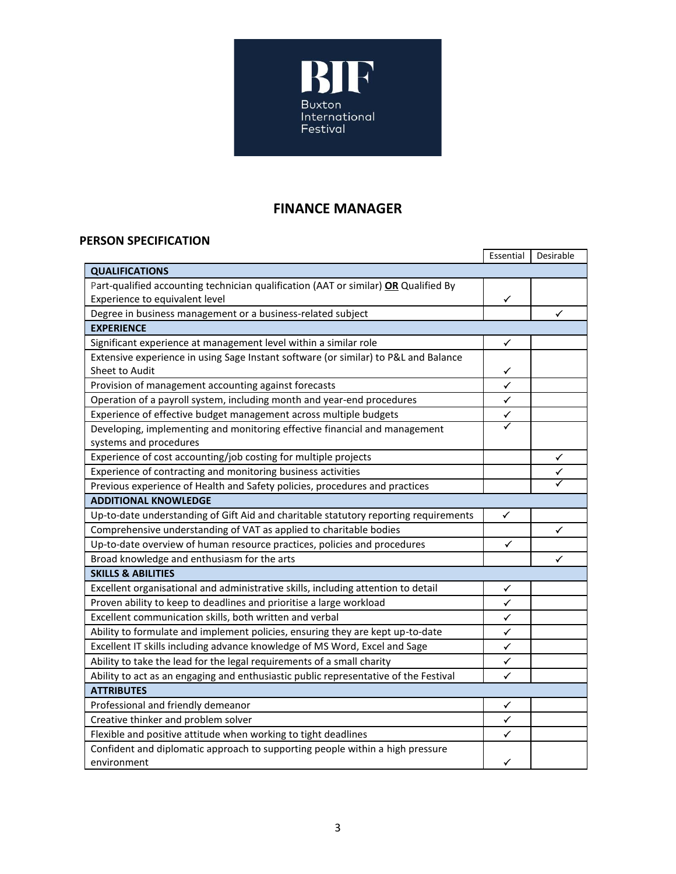

# **FINANCE MANAGER**

## **PERSON SPECIFICATION**

|                                                                                      | Essential            | Desirable |
|--------------------------------------------------------------------------------------|----------------------|-----------|
| <b>QUALIFICATIONS</b>                                                                |                      |           |
| Part-qualified accounting technician qualification (AAT or similar) OR Qualified By  |                      |           |
| Experience to equivalent level                                                       | ✓                    |           |
| Degree in business management or a business-related subject                          |                      | ✓         |
| <b>EXPERIENCE</b>                                                                    |                      |           |
| Significant experience at management level within a similar role                     | ✓                    |           |
| Extensive experience in using Sage Instant software (or similar) to P&L and Balance  |                      |           |
| Sheet to Audit                                                                       | $\checkmark$         |           |
| Provision of management accounting against forecasts                                 | $\checkmark$         |           |
| Operation of a payroll system, including month and year-end procedures               | $\checkmark$         |           |
| Experience of effective budget management across multiple budgets                    | $\blacktriangledown$ |           |
| Developing, implementing and monitoring effective financial and management           |                      |           |
| systems and procedures                                                               |                      |           |
| Experience of cost accounting/job costing for multiple projects                      |                      | ✓         |
| Experience of contracting and monitoring business activities                         |                      | ✓         |
| Previous experience of Health and Safety policies, procedures and practices          |                      |           |
| <b>ADDITIONAL KNOWLEDGE</b>                                                          |                      |           |
| Up-to-date understanding of Gift Aid and charitable statutory reporting requirements | ✓                    |           |
| Comprehensive understanding of VAT as applied to charitable bodies                   |                      | ✓         |
| Up-to-date overview of human resource practices, policies and procedures             | ✓                    |           |
| Broad knowledge and enthusiasm for the arts                                          |                      | ✓         |
| <b>SKILLS &amp; ABILITIES</b>                                                        |                      |           |
| Excellent organisational and administrative skills, including attention to detail    | ✓                    |           |
| Proven ability to keep to deadlines and prioritise a large workload                  | $\checkmark$         |           |
| Excellent communication skills, both written and verbal                              | $\checkmark$         |           |
| Ability to formulate and implement policies, ensuring they are kept up-to-date       | ✓                    |           |
| Excellent IT skills including advance knowledge of MS Word, Excel and Sage           | ✓                    |           |
| Ability to take the lead for the legal requirements of a small charity               | ✓                    |           |
| Ability to act as an engaging and enthusiastic public representative of the Festival | $\checkmark$         |           |
| <b>ATTRIBUTES</b>                                                                    |                      |           |
| Professional and friendly demeanor                                                   | ✓                    |           |
| Creative thinker and problem solver                                                  | ✓                    |           |
| Flexible and positive attitude when working to tight deadlines                       | ✓                    |           |
| Confident and diplomatic approach to supporting people within a high pressure        |                      |           |
| environment                                                                          | ✓                    |           |